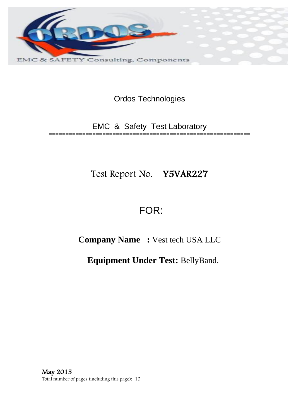

Ordos Technologies

EMC & Safety Test Laboratory ============================================================

Test Report No. Y5VAR227

# FOR:

**Company Name :** Vest tech USA LLC

**Equipment Under Test:** BellyBand.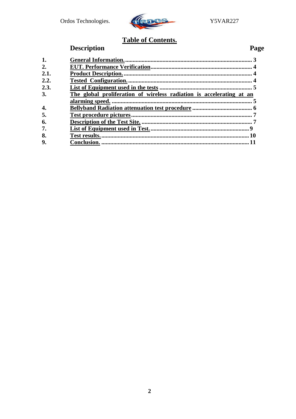

### **Table of Contents.**

## **Description**

### Page

| 1.   |                                                                      |    |
|------|----------------------------------------------------------------------|----|
| 2.   |                                                                      |    |
| 2.1. |                                                                      |    |
| 2.2. |                                                                      |    |
| 2.3. |                                                                      |    |
| 3.   | The global proliferation of wireless radiation is accelerating at an |    |
|      |                                                                      |    |
| 4.   |                                                                      |    |
| 5.   |                                                                      |    |
| 6.   |                                                                      |    |
| 7.   | $\mathbf Q$                                                          |    |
| 8.   |                                                                      | 10 |
| 9.   |                                                                      |    |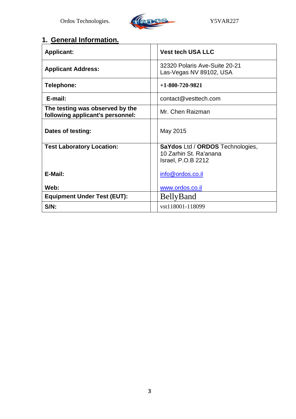

## **1. General Information.**

| <b>Applicant:</b>                                                   | <b>Vest tech USA LLC</b>                                                                |
|---------------------------------------------------------------------|-----------------------------------------------------------------------------------------|
| <b>Applicant Address:</b>                                           | 32320 Polaris Ave-Suite 20-21<br>Las-Vegas NV 89102, USA                                |
| Telephone:                                                          | $+1 - 800 - 720 - 9821$                                                                 |
| E-mail:                                                             | contact@vesttech.com                                                                    |
| The testing was observed by the<br>following applicant's personnel: | Mr. Chen Raizman                                                                        |
| Dates of testing:                                                   | May 2015                                                                                |
| <b>Test Laboratory Location:</b>                                    | SaYdos Ltd / ORDOS Technologies,<br>10 Zarhin St. Ra'anana<br><b>Israel, P.O.B 2212</b> |
| E-Mail:                                                             | info@ordos.co.il                                                                        |
| Web:                                                                | www.ordos.co.il                                                                         |
| <b>Equipment Under Test (EUT):</b>                                  | <b>BellyBand</b>                                                                        |
| $S/N$ :                                                             | vst118001-118099                                                                        |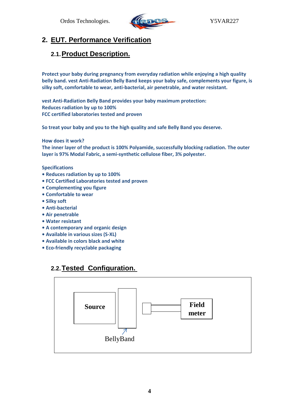

#### **2. EUT. Performance Verification**

#### **2.1.Product Description.**

**Protect your baby during pregnancy from everyday radiation while enjoying a high quality belly band. vest Anti-Radiation Belly Band keeps your baby safe, complements your figure, is silky soft, comfortable to wear, anti-bacterial, air penetrable, and water resistant.**

**vest Anti-Radiation Belly Band provides your baby maximum protection: Reduces radiation by up to 100% FCC certified laboratories tested and proven**

**So treat your baby and you to the high quality and safe Belly Band you deserve.**

**How does it work?**

**The inner layer of the product is 100% Polyamide, successfully blocking radiation. The outer layer is 97% Modal Fabric, a semi-synthetic cellulose fiber, 3% polyester.** 

#### **Specifications**

- **Reduces radiation by up to 100%**
- **FCC Certified Laboratories tested and proven**
- **Complementing you figure**
- **Comfortable to wear**
- **Silky soft**
- **Anti-bacterial**
- **Air penetrable**
- **Water resistant**
- **A contemporary and organic design**
- **Available in various sizes (S-XL)**
- **Available in colors black and white**
- **Eco-friendly recyclable packaging**

### **2.2.Tested Configuration.**

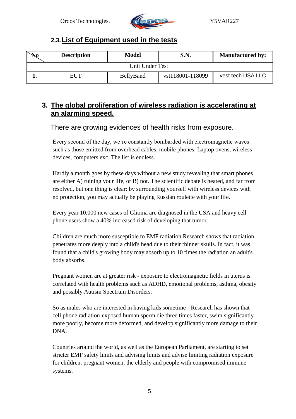

#### **2.3.List of Equipment used in the tests**

| $\mathbb{N}_0$  | <b>Description</b> | <b>Model</b> | S.N.             | <b>Manufactured by:</b> |  |
|-----------------|--------------------|--------------|------------------|-------------------------|--|
| Unit Under Test |                    |              |                  |                         |  |
|                 | <b>EUT</b>         | BellyBand    | vst118001-118099 | vest tech USA LLC       |  |

#### **3. The global proliferation of wireless radiation is accelerating at an alarming speed.**

There are growing evidences of health risks from exposure.

Every second of the day, we're constantly bombarded with electromagnetic waves such as those emitted from overhead cables, mobile phones, Laptop ovens, wireless devices, computers exc. The list is endless.

Hardly a month goes by these days without a new study revealing that smart phones are either A) ruining your life, or B) not. The scientific debate is heated, and far from resolved, but one thing is clear: by surrounding yourself with wireless devices with no protection, you may actually be playing Russian roulette with your life.

Every year 10,000 new cases of Glioma are diagnosed in the USA and heavy cell phone users show a 40% increased risk of developing that tumor.

Children are much more susceptible to EMF radiation Research shows that radiation penetrates more deeply into a child's head due to their thinner skulls. In fact, it was found that a child's growing body may absorb up to 10 times the radiation an adult's body absorbs.

Pregnant women are at greater risk - exposure to electromagnetic fields in uterus is correlated with health problems such as ADHD, emotional problems, asthma, obesity and possibly Autism Spectrum Disorders.

So as males who are interested in having kids sometime - Research has shown that cell phone radiation-exposed human sperm die three times faster, swim significantly more poorly, become more deformed, and develop significantly more damage to their DNA.

Countries around the world, as well as the European Parliament, are starting to set stricter EMF safety limits and advising limits and advise limiting radiation exposure for children, pregnant women, the elderly and people with compromised immune systems.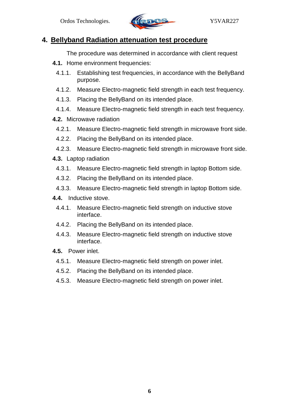

#### **4. Bellyband Radiation attenuation test procedure**

The procedure was determined in accordance with client request

- **4.1.** Home environment frequencies:
	- 4.1.1. Establishing test frequencies, in accordance with the BellyBand purpose.
	- 4.1.2. Measure Electro-magnetic field strength in each test frequency.
	- 4.1.3. Placing the BellyBand on its intended place.
	- 4.1.4. Measure Electro-magnetic field strength in each test frequency.
- **4.2.** Microwave radiation
	- 4.2.1. Measure Electro-magnetic field strength in microwave front side.
	- 4.2.2. Placing the BellyBand on its intended place.
- 4.2.3. Measure Electro-magnetic field strength in microwave front side.
- **4.3.** Laptop radiation
	- 4.3.1. Measure Electro-magnetic field strength in laptop Bottom side.
	- 4.3.2. Placing the BellyBand on its intended place.
	- 4.3.3. Measure Electro-magnetic field strength in laptop Bottom side.
- **4.4.** Inductive stove.
- 4.4.1. Measure Electro-magnetic field strength on inductive stove interface.
- 4.4.2. Placing the BellyBand on its intended place.
- 4.4.3. Measure Electro-magnetic field strength on inductive stove interface.
- **4.5.** Power inlet.
- 4.5.1. Measure Electro-magnetic field strength on power inlet.
- 4.5.2. Placing the BellyBand on its intended place.
- 4.5.3. Measure Electro-magnetic field strength on power inlet.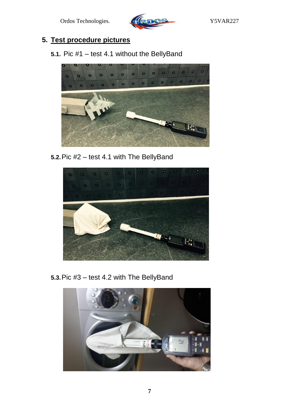

### **5. Test procedure pictures**

**5.1.** Pic #1 – test 4.1 without the BellyBand



**5.2.**Pic #2 – test 4.1 with The BellyBand



**5.3.**Pic #3 – test 4.2 with The BellyBand

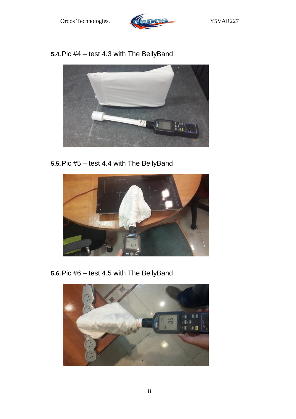

**5.4.**Pic #4 – test 4.3 with The BellyBand



**5.5.**Pic #5 – test 4.4 with The BellyBand

![](_page_7_Picture_6.jpeg)

**5.6.**Pic #6 – test 4.5 with The BellyBand

![](_page_7_Picture_8.jpeg)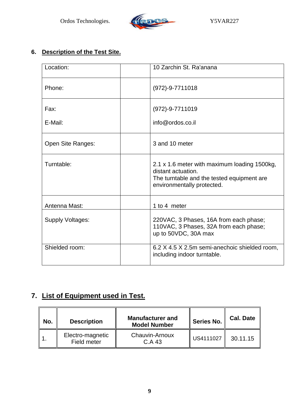![](_page_8_Picture_1.jpeg)

#### **6. Description of the Test Site.**

| Location:         | 10 Zarchin St. Ra'anana                                                                                                                        |  |
|-------------------|------------------------------------------------------------------------------------------------------------------------------------------------|--|
| Phone:            | $(972)-9-7711018$                                                                                                                              |  |
| Fax:              | $(972)-9-7711019$                                                                                                                              |  |
| E-Mail:           | info@ordos.co.il                                                                                                                               |  |
| Open Site Ranges: | 3 and 10 meter                                                                                                                                 |  |
| Turntable:        | 2.1 x 1.6 meter with maximum loading 1500kg,<br>distant actuation.<br>The turntable and the tested equipment are<br>environmentally protected. |  |
| Antenna Mast:     | 1 to 4 meter                                                                                                                                   |  |
| Supply Voltages:  | 220VAC, 3 Phases, 16A from each phase;<br>110VAC, 3 Phases, 32A from each phase;<br>up to 50VDC, 30A max                                       |  |
| Shielded room:    | 6.2 X 4.5 X 2.5m semi-anechoic shielded room,<br>including indoor turntable.                                                                   |  |

### **7. List of Equipment used in Test.**

| No. | <b>Description</b>              | <b>Manufacturer and</b><br><b>Model Number</b> | Series No. | <b>Cal. Date</b> |
|-----|---------------------------------|------------------------------------------------|------------|------------------|
|     | Electro-magnetic<br>Field meter | Chauvin-Arnoux<br>C.A 43                       | US4111027  | 30.11.15         |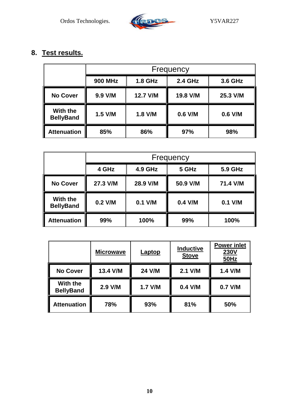![](_page_9_Picture_1.jpeg)

## **8. Test results.**

|                              | Frequency      |                |                |          |
|------------------------------|----------------|----------------|----------------|----------|
|                              | <b>900 MHz</b> | <b>1.8 GHz</b> | <b>2.4 GHz</b> | 3.6 GHz  |
| <b>No Cover</b>              | 9.9 V/M        | 12.7 V/M       | 19.8 V/M       | 25.3 V/M |
| With the<br><b>BellyBand</b> | $1.5$ V/M      | 1.8 V/M        | 0.6 V/M        | 0.6 V/M  |
| <b>Attenuation</b>           | 85%            | 86%            | 97%            | 98%      |

|                              | Frequency |                |           |           |
|------------------------------|-----------|----------------|-----------|-----------|
|                              | 4 GHz     | <b>4.9 GHz</b> | 5 GHz     | 5.9 GHz   |
| <b>No Cover</b>              | 27.3 V/M  | 28.9 V/M       | 50.9 V/M  | 71.4 V/M  |
| With the<br><b>BellyBand</b> | $0.2$ V/M | $0.1$ V/M      | $0.4$ V/M | $0.1$ V/M |
| <b>Attenuation</b>           | 99%       | 100%           | 99%       | 100%      |

|                              | <b>Microwave</b> | Laptop  | <b>Inductive</b><br><b>Stove</b> | <b>Power inlet</b><br>230V<br><b>50Hz</b> |
|------------------------------|------------------|---------|----------------------------------|-------------------------------------------|
| <b>No Cover</b>              | 13.4 V/M         | 24 V/M  | 2.1 V/M                          | 1.4 V/M                                   |
| With the<br><b>BellyBand</b> | 2.9 V/M          | 1.7 V/M | 0.4 V/M                          | 0.7 V/M                                   |
| <b>Attenuation</b>           | 78%              | 93%     | 81%                              | 50%                                       |